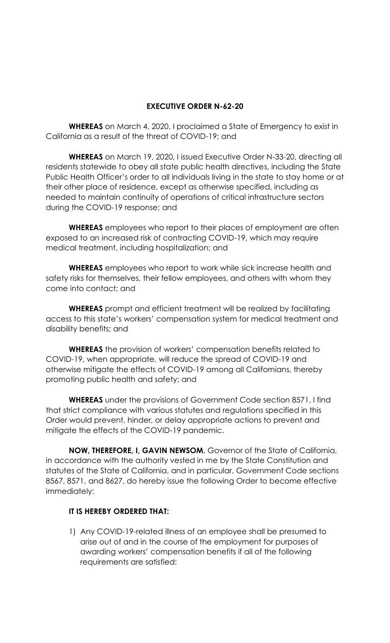## **EXECUTIVE ORDER N-62-20**

**WHEREAS** on March 4, 2020, I proclaimed a State of Emergency to exist in California as a result of the threat of COVID-19; and

**WHEREAS** on March 19, 2020, I issued Executive Order N-33-20, directing all residents statewide to obey all state public health directives, including the State Public Health Officer's order to all individuals living in the state to stay home or at their other place of residence, except as otherwise specified, including as needed to maintain continuity of operations of critical infrastructure sectors during the COVID-19 response; and

**WHEREAS** employees who report to their places of employment are often exposed to an increased risk of contracting COVID-19, which may require medical treatment, including hospitalization; and

**WHEREAS** employees who report to work while sick increase health and safety risks for themselves, their fellow employees, and others with whom they come into contact; and

**WHEREAS** prompt and efficient treatment will be realized by facilitating access to this state's workers' compensation system for medical treatment and disability benefits; and

**WHEREAS** the provision of workers' compensation benefits related to COVID-19, when appropriate, will reduce the spread of COVID-19 and otherwise mitigate the effects of COVID-19 among all Californians, thereby promoting public health and safety; and

**WHEREAS** under the provisions of Government Code section 8571, I find that strict compliance with various statutes and regulations specified in this Order would prevent, hinder, or delay appropriate actions to prevent and mitigate the effects of the COVID-19 pandemic.

**NOW, THEREFORE, I, GAVIN NEWSOM**, Governor of the State of California, in accordance with the authority vested in me by the State Constitution and statutes of the State of California, and in particular, Government Code sections 8567, 8571, and 8627, do hereby issue the following Order to become effective immediately:

## **IT IS HEREBY ORDERED THAT:**

1) Any COVID-19-related illness of an employee shall be presumed to arise out of and in the course of the employment for purposes of awarding workers' compensation benefits if all of the following requirements are satisfied: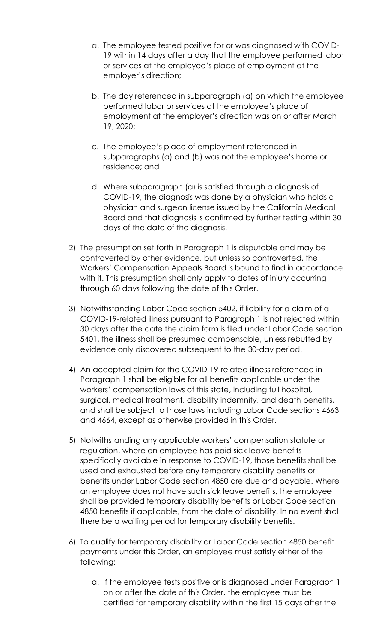- a. The employee tested positive for or was diagnosed with COVID-19 within 14 days after a day that the employee performed labor or services at the employee's place of employment at the employer's direction;
- b. The day referenced in subparagraph (a) on which the employee performed labor or services at the employee's place of employment at the employer's direction was on or after March 19, 2020;
- c. The employee's place of employment referenced in subparagraphs (a) and (b) was not the employee's home or residence; and
- d. Where subparagraph (a) is satisfied through a diagnosis of COVID-19, the diagnosis was done by a physician who holds a physician and surgeon license issued by the California Medical Board and that diagnosis is confirmed by further testing within 30 days of the date of the diagnosis.
- 2) The presumption set forth in Paragraph 1 is disputable and may be controverted by other evidence, but unless so controverted, the Workers' Compensation Appeals Board is bound to find in accordance with it. This presumption shall only apply to dates of injury occurring through 60 days following the date of this Order.
- 3) Notwithstanding Labor Code section 5402, if liability for a claim of a COVID-19-related illness pursuant to Paragraph 1 is not rejected within 30 days after the date the claim form is filed under Labor Code section 5401, the illness shall be presumed compensable, unless rebutted by evidence only discovered subsequent to the 30-day period.
- 4) An accepted claim for the COVID-19-related illness referenced in Paragraph 1 shall be eligible for all benefits applicable under the workers' compensation laws of this state, including full hospital, surgical, medical treatment, disability indemnity, and death benefits, and shall be subject to those laws including Labor Code sections 4663 and 4664, except as otherwise provided in this Order.
- 5) Notwithstanding any applicable workers' compensation statute or regulation, where an employee has paid sick leave benefits specifically available in response to COVID-19, those benefits shall be used and exhausted before any temporary disability benefits or benefits under Labor Code section 4850 are due and payable. Where an employee does not have such sick leave benefits, the employee shall be provided temporary disability benefits or Labor Code section 4850 benefits if applicable, from the date of disability. In no event shall there be a waiting period for temporary disability benefits.
- 6) To qualify for temporary disability or Labor Code section 4850 benefit payments under this Order, an employee must satisfy either of the following:
	- a. If the employee tests positive or is diagnosed under Paragraph 1 on or after the date of this Order, the employee must be certified for temporary disability within the first 15 days after the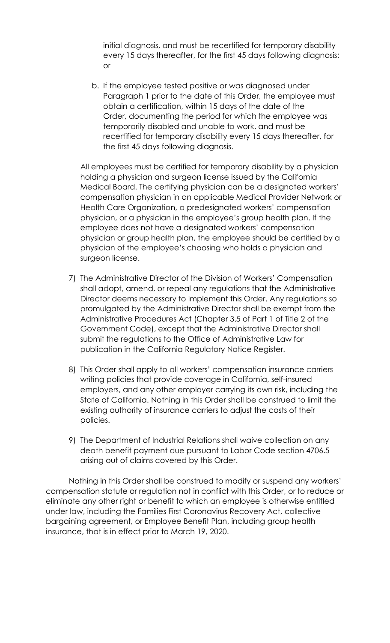initial diagnosis, and must be recertified for temporary disability every 15 days thereafter, for the first 45 days following diagnosis; or

b. If the employee tested positive or was diagnosed under Paragraph 1 prior to the date of this Order, the employee must obtain a certification, within 15 days of the date of the Order, documenting the period for which the employee was temporarily disabled and unable to work, and must be recertified for temporary disability every 15 days thereafter, for the first 45 days following diagnosis.

All employees must be certified for temporary disability by a physician holding a physician and surgeon license issued by the California Medical Board. The certifying physician can be a designated workers' compensation physician in an applicable Medical Provider Network or Health Care Organization, a predesignated workers' compensation physician, or a physician in the employee's group health plan. If the employee does not have a designated workers' compensation physician or group health plan, the employee should be certified by a physician of the employee's choosing who holds a physician and surgeon license.

- 7) The Administrative Director of the Division of Workers' Compensation shall adopt, amend, or repeal any regulations that the Administrative Director deems necessary to implement this Order. Any regulations so promulgated by the Administrative Director shall be exempt from the Administrative Procedures Act (Chapter 3.5 of Part 1 of Title 2 of the Government Code), except that the Administrative Director shall submit the regulations to the Office of Administrative Law for publication in the California Regulatory Notice Register.
- 8) This Order shall apply to all workers' compensation insurance carriers writing policies that provide coverage in California, self-insured employers, and any other employer carrying its own risk, including the State of California. Nothing in this Order shall be construed to limit the existing authority of insurance carriers to adjust the costs of their policies.
- 9) The Department of Industrial Relations shall waive collection on any death benefit payment due pursuant to Labor Code section 4706.5 arising out of claims covered by this Order.

Nothing in this Order shall be construed to modify or suspend any workers' compensation statute or regulation not in conflict with this Order, or to reduce or eliminate any other right or benefit to which an employee is otherwise entitled under law, including the Families First Coronavirus Recovery Act, collective bargaining agreement, or Employee Benefit Plan, including group health insurance, that is in effect prior to March 19, 2020.